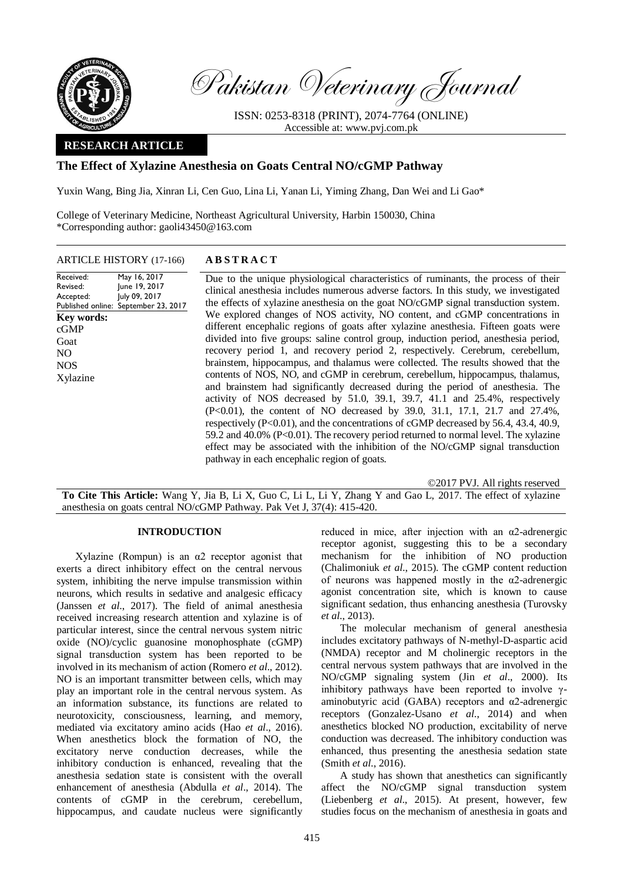

Pakistan Veterinary Journal

ISSN: 0253-8318 (PRINT), 2074-7764 (ONLINE) Accessible at: [www.pvj.com.pk](http://www.pvj.com.pk/)

# **RESEARCH ARTICLE**

## **The Effect of Xylazine Anesthesia on Goats Central NO/cGMP Pathway**

Yuxin Wang, Bing Jia, Xinran Li, Cen Guo, Lina Li, Yanan Li, Yiming Zhang, Dan Wei and Li Gao\*

College of Veterinary Medicine, Northeast Agricultural University, Harbin 150030, China \*Corresponding author: gaoli43450@163.com

| <b>ARTICLE HISTORY</b> (17-166)                                                                                                                                                                    | <b>ABSTRACT</b>                                                                                                                                                                                                                                                                                                                                                                                                                                                                                                                                                                                                                                                                                                                                                                                                                                                                                                                                                                                                                                                                                                                                                                                                                                                                                                                                          |
|----------------------------------------------------------------------------------------------------------------------------------------------------------------------------------------------------|----------------------------------------------------------------------------------------------------------------------------------------------------------------------------------------------------------------------------------------------------------------------------------------------------------------------------------------------------------------------------------------------------------------------------------------------------------------------------------------------------------------------------------------------------------------------------------------------------------------------------------------------------------------------------------------------------------------------------------------------------------------------------------------------------------------------------------------------------------------------------------------------------------------------------------------------------------------------------------------------------------------------------------------------------------------------------------------------------------------------------------------------------------------------------------------------------------------------------------------------------------------------------------------------------------------------------------------------------------|
| May 16, 2017<br>Received:<br>June 19, 2017<br>Revised:<br>July 09, 2017<br>Accepted:<br>Published online: September 23, 2017<br><b>Key words:</b><br>cGMP<br>Goat<br>NO.<br><b>NOS</b><br>Xylazine | Due to the unique physiological characteristics of ruminants, the process of their<br>clinical anesthesia includes numerous adverse factors. In this study, we investigated<br>the effects of xylazine anesthesia on the goat NO/cGMP signal transduction system.<br>We explored changes of NOS activity, NO content, and cGMP concentrations in<br>different encephalic regions of goats after xylazine anesthesia. Fifteen goats were<br>divided into five groups: saline control group, induction period, anesthesia period,<br>recovery period 1, and recovery period 2, respectively. Cerebrum, cerebellum,<br>brainstem, hippocampus, and thalamus were collected. The results showed that the<br>contents of NOS, NO, and cGMP in cerebrum, cerebellum, hippocampus, thalamus,<br>and brainstem had significantly decreased during the period of anesthesia. The<br>activity of NOS decreased by 51.0, 39.1, 39.7, 41.1 and 25.4%, respectively<br>(P<0.01), the content of NO decreased by 39.0, 31.1, 17.1, 21.7 and 27.4%,<br>respectively $(P<0.01)$ , and the concentrations of cGMP decreased by 56.4, 43.4, 40.9,<br>59.2 and 40.0% (P<0.01). The recovery period returned to normal level. The xylazine<br>effect may be associated with the inhibition of the NO/cGMP signal transduction<br>pathway in each encephalic region of goats. |
|                                                                                                                                                                                                    | ©2017 PVJ. All rights reserved                                                                                                                                                                                                                                                                                                                                                                                                                                                                                                                                                                                                                                                                                                                                                                                                                                                                                                                                                                                                                                                                                                                                                                                                                                                                                                                           |

**To Cite This Article:** Wang Y, Jia B, Li X, Guo C, Li L, Li Y, Zhang Y and Gao L, 2017. The effect of xylazine anesthesia on goats central NO/cGMP Pathway. Pak Vet J, 37(4): 415-420.

## **INTRODUCTION**

Xylazine (Rompun) is an α2 receptor agonist that exerts a direct inhibitory effect on the central nervous system, inhibiting the nerve impulse transmission within neurons, which results in sedative and analgesic efficacy (Janssen *et al*., 2017). The field of animal anesthesia received increasing research attention and xylazine is of particular interest, since the central nervous system nitric oxide (NO)/cyclic guanosine monophosphate (cGMP) signal transduction system has been reported to be involved in its mechanism of action (Romero *et al*., 2012). NO is an important transmitter between cells, which may play an important role in the central nervous system. As an information substance, its functions are related to neurotoxicity, consciousness, learning, and memory, mediated via excitatory amino acids (Hao *et al*., 2016). When anesthetics block the formation of NO, the excitatory nerve conduction decreases, while the inhibitory conduction is enhanced, revealing that the anesthesia sedation state is consistent with the overall enhancement of anesthesia (Abdulla *et al*., 2014). The contents of cGMP in the cerebrum, cerebellum, hippocampus, and caudate nucleus were significantly

reduced in mice, after injection with an  $\alpha$ 2-adrenergic receptor agonist, suggesting this to be a secondary mechanism for the inhibition of NO production (Chalimoniuk *et al*., 2015). The cGMP content reduction of neurons was happened mostly in the  $\alpha$ 2-adrenergic agonist concentration site, which is known to cause significant sedation, thus enhancing anesthesia (Turovsky *et al*., 2013).

The molecular mechanism of general anesthesia includes excitatory pathways of N-methyl-D-aspartic acid (NMDA) receptor and M cholinergic receptors in the central nervous system pathways that are involved in the NO/cGMP signaling system (Jin *et al*., 2000). Its inhibitory pathways have been reported to involve  $\gamma$ aminobutyric acid (GABA) receptors and α2-adrenergic receptors (Gonzalez-Usano *et al*., 2014) and when anesthetics blocked NO production, excitability of nerve conduction was decreased. The inhibitory conduction was enhanced, thus presenting the anesthesia sedation state (Smith *et al*., 2016).

A study has shown that anesthetics can significantly affect the NO/cGMP signal transduction system (Liebenberg *et al*., 2015). At present, however, few studies focus on the mechanism of anesthesia in goats and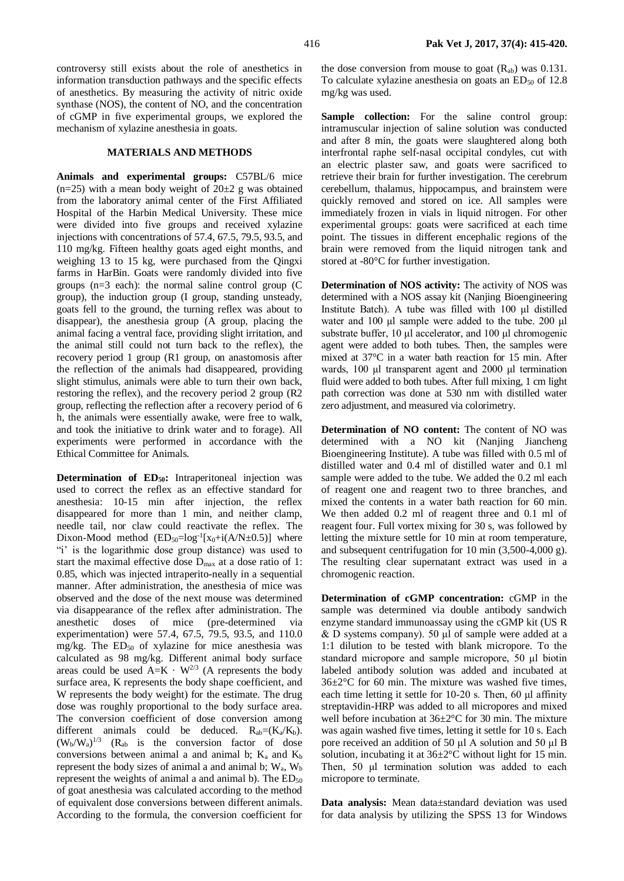controversy still exists about the role of anesthetics in information transduction pathways and the specific effects of anesthetics. By measuring the activity of nitric oxide synthase (NOS), the content of NO, and the concentration of cGMP in five experimental groups, we explored the mechanism of xylazine anesthesia in goats.

#### **MATERIALS AND METHODS**

**Animals and experimental groups:** C57BL/6 mice  $(n=25)$  with a mean body weight of  $20\pm 2$  g was obtained from the laboratory animal center of the First Affiliated Hospital of the Harbin Medical University. These mice were divided into five groups and received xylazine injections with concentrations of 57.4, 67.5, 79.5, 93.5, and 110 mg/kg. Fifteen healthy goats aged eight months, and weighing 13 to 15 kg, were purchased from the Qingxi farms in HarBin. Goats were randomly divided into five groups (n=3 each): the normal saline control group (C group), the induction group (I group, standing unsteady, goats fell to the ground, the turning reflex was about to disappear), the anesthesia group (A group, placing the animal facing a ventral face, providing slight irritation, and the animal still could not turn back to the reflex), the recovery period 1 group (R1 group, on anastomosis after the reflection of the animals had disappeared, providing slight stimulus, animals were able to turn their own back, restoring the reflex), and the recovery period 2 group (R2 group, reflecting the reflection after a recovery period of 6 h, the animals were essentially awake, were free to walk, and took the initiative to drink water and to forage). All experiments were performed in accordance with the Ethical Committee for Animals.

**Determination of ED50:** Intraperitoneal injection was used to correct the reflex as an effective standard for anesthesia: 10-15 min after injection, the reflex disappeared for more than 1 min, and neither clamp, needle tail, nor claw could reactivate the reflex. The Dixon-Mood method  $(ED_{50} = log^{-1}[x_0+i(A/N \pm 0.5)]$  where "i' is the logarithmic dose group distance) was used to start the maximal effective dose Dmax at a dose ratio of 1: 0.85, which was injected intraperito-neally in a sequential manner. After administration, the anesthesia of mice was observed and the dose of the next mouse was determined via disappearance of the reflex after administration. The anesthetic doses of mice (pre-determined via experimentation) were 57.4, 67.5, 79.5, 93.5, and 110.0 mg/kg. The  $ED_{50}$  of xylazine for mice anesthesia was calculated as 98 mg/kg. Different animal body surface areas could be used  $A=K \cdot W^{2/3}$  (A represents the body surface area, K represents the body shape coefficient, and W represents the body weight) for the estimate. The drug dose was roughly proportional to the body surface area. The conversion coefficient of dose conversion among different animals could be deduced.  $R_{ab} = (K_a/K_b)$ .  $(W_b/W_a)^{1/3}$  (R<sub>ab</sub> is the conversion factor of dose conversions between animal a and animal b;  $K_a$  and  $K_b$ represent the body sizes of animal a and animal b;  $W_a$ ,  $W_b$ represent the weights of animal a and animal b). The  $ED_{50}$ of goat anesthesia was calculated according to the method of equivalent dose conversions between different animals. According to the formula, the conversion coefficient for

the dose conversion from mouse to goat  $(R_{ab})$  was 0.131. To calculate xylazine anesthesia on goats an  $ED_{50}$  of 12.8 mg/kg was used.

Sample collection: For the saline control group: intramuscular injection of saline solution was conducted and after 8 min, the goats were slaughtered along both interfrontal raphe self-nasal occipital condyles, cut with an electric plaster saw, and goats were sacrificed to retrieve their brain for further investigation. The cerebrum cerebellum, thalamus, hippocampus, and brainstem were quickly removed and stored on ice. All samples were immediately frozen in vials in liquid nitrogen. For other experimental groups: goats were sacrificed at each time point. The tissues in different encephalic regions of the brain were removed from the liquid nitrogen tank and stored at -80°C for further investigation.

**Determination of NOS activity:** The activity of NOS was determined with a NOS assay kit (Nanjing Bioengineering Institute Batch). A tube was filled with 100 μl distilled water and 100 μl sample were added to the tube. 200 μl substrate buffer, 10 μl accelerator, and 100 μl chromogenic agent were added to both tubes. Then, the samples were mixed at 37°C in a water bath reaction for 15 min. After wards, 100 μl transparent agent and 2000 μl termination fluid were added to both tubes. After full mixing, 1 cm light path correction was done at 530 nm with distilled water zero adjustment, and measured via colorimetry.

**Determination of NO content:** The content of NO was determined with a NO kit (Nanjing Jiancheng Bioengineering Institute). A tube was filled with 0.5 ml of distilled water and 0.4 ml of distilled water and 0.1 ml sample were added to the tube. We added the 0.2 ml each of reagent one and reagent two to three branches, and mixed the contents in a water bath reaction for 60 min. We then added 0.2 ml of reagent three and 0.1 ml of reagent four. Full vortex mixing for 30 s, was followed by letting the mixture settle for 10 min at room temperature, and subsequent centrifugation for 10 min (3,500-4,000 g). The resulting clear supernatant extract was used in a chromogenic reaction.

**Determination of cGMP concentration:** cGMP in the sample was determined via double antibody sandwich enzyme standard immunoassay using the cGMP kit (US R & D systems company). 50 μl of sample were added at a 1:1 dilution to be tested with blank micropore. To the standard micropore and sample micropore, 50 μl biotin labeled antibody solution was added and incubated at  $36\pm2\degree$ C for 60 min. The mixture was washed five times, each time letting it settle for 10-20 s. Then, 60 μl affinity streptavidin-HRP was added to all micropores and mixed well before incubation at 36±2°C for 30 min. The mixture was again washed five times, letting it settle for 10 s. Each pore received an addition of 50 μl A solution and 50 μl B solution, incubating it at 36±2°C without light for 15 min. Then, 50 μl termination solution was added to each micropore to terminate.

**Data analysis:** Mean data±standard deviation was used for data analysis by utilizing the SPSS 13 for Windows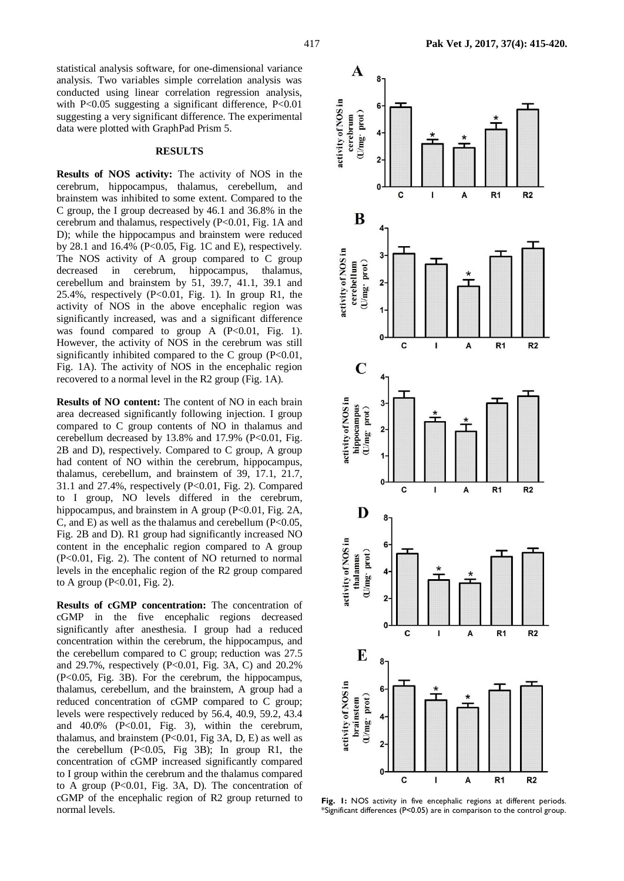statistical analysis software, for one-dimensional variance analysis. Two variables simple correlation analysis was conducted using linear correlation regression analysis, with  $P<0.05$  suggesting a significant difference,  $P<0.01$ suggesting a very significant difference. The experimental data were plotted with GraphPad Prism 5.

### **RESULTS**

**Results of NOS activity:** The activity of NOS in the cerebrum, hippocampus, thalamus, cerebellum, and brainstem was inhibited to some extent. Compared to the C group, the I group decreased by 46.1 and 36.8% in the cerebrum and thalamus, respectively (P<0.01, Fig. 1A and D); while the hippocampus and brainstem were reduced by 28.1 and 16.4% (P<0.05, Fig. 1C and E), respectively. The NOS activity of A group compared to C group decreased in cerebrum, hippocampus, thalamus, cerebellum and brainstem by 51, 39.7, 41.1, 39.1 and 25.4%, respectively  $(P<0.01$ , Fig. 1). In group R1, the activity of NOS in the above encephalic region was significantly increased, was and a significant difference was found compared to group A  $(P<0.01$ , Fig. 1). However, the activity of NOS in the cerebrum was still significantly inhibited compared to the C group  $(P<0.01$ , Fig. 1A). The activity of NOS in the encephalic region recovered to a normal level in the R2 group (Fig. 1A).

**Results of NO content:** The content of NO in each brain area decreased significantly following injection. I group compared to C group contents of NO in thalamus and cerebellum decreased by 13.8% and 17.9% (P<0.01, Fig. 2B and D), respectively. Compared to C group, A group had content of NO within the cerebrum, hippocampus, thalamus, cerebellum, and brainstem of 39, 17.1, 21.7, 31.1 and 27.4%, respectively (P<0.01, Fig. 2). Compared to I group, NO levels differed in the cerebrum, hippocampus, and brainstem in A group  $(P<0.01$ , Fig. 2A, C, and E) as well as the thalamus and cerebellum  $(P<0.05$ , Fig. 2B and D). R1 group had significantly increased NO content in the encephalic region compared to A group (P<0.01, Fig. 2). The content of NO returned to normal levels in the encephalic region of the R2 group compared to A group (P<0.01, Fig. 2).

**Results of cGMP concentration:** The concentration of cGMP in the five encephalic regions decreased significantly after anesthesia. I group had a reduced concentration within the cerebrum, the hippocampus, and the cerebellum compared to C group; reduction was 27.5 and 29.7%, respectively (P<0.01, Fig. 3A, C) and 20.2% (P<0.05, Fig. 3B). For the cerebrum, the hippocampus, thalamus, cerebellum, and the brainstem, A group had a reduced concentration of cGMP compared to C group; levels were respectively reduced by 56.4, 40.9, 59.2, 43.4 and  $40.0\%$  (P<0.01, Fig. 3), within the cerebrum, thalamus, and brainstem (P<0.01, Fig 3A, D, E) as well as the cerebellum  $(P<0.05$ , Fig 3B); In group R1, the concentration of cGMP increased significantly compared to I group within the cerebrum and the thalamus compared to A group  $(P<0.01$ , Fig. 3A, D). The concentration of cGMP of the encephalic region of R2 group returned to normal levels.



**Fig. 1:** NOS activity in five encephalic regions at different periods. \*Significant differences (P<0.05) are in comparison to the control group.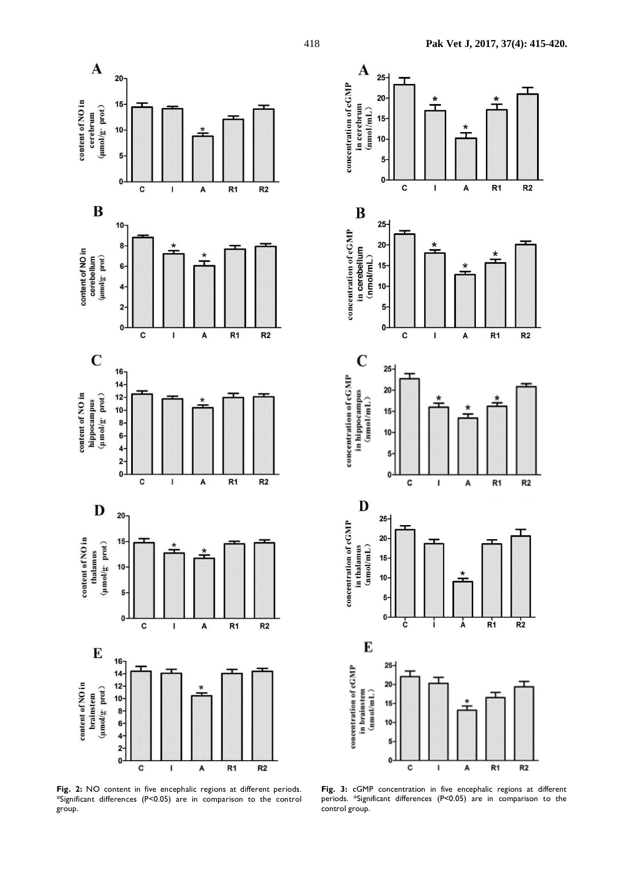





**Fig. 3:** cGMP concentration in five encephalic regions at different periods. \*Significant differences (P<0.05) are in comparison to the control group.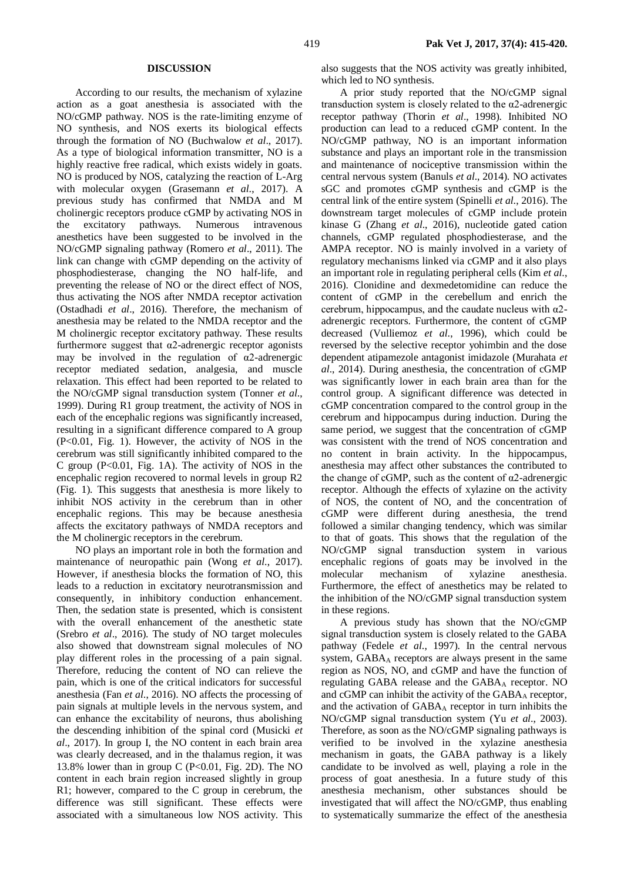#### **DISCUSSION**

According to our results, the mechanism of xylazine action as a goat anesthesia is associated with the NO/cGMP pathway. NOS is the rate-limiting enzyme of NO synthesis, and NOS exerts its biological effects through the formation of NO (Buchwalow *et al*., 2017). As a type of biological information transmitter, NO is a highly reactive free radical, which exists widely in goats. NO is produced by NOS, catalyzing the reaction of L-Arg with molecular oxygen (Grasemann *et al*., 2017). A previous study has confirmed that NMDA and M cholinergic receptors produce cGMP by activating NOS in the excitatory pathways. Numerous intravenous anesthetics have been suggested to be involved in the NO/cGMP signaling pathway (Romero *et al*., 2011). The link can change with cGMP depending on the activity of phosphodiesterase, changing the NO half-life, and preventing the release of NO or the direct effect of NOS, thus activating the NOS after NMDA receptor activation (Ostadhadi *et al*., 2016). Therefore, the mechanism of anesthesia may be related to the NMDA receptor and the M cholinergic receptor excitatory pathway. These results furthermore suggest that  $\alpha$ 2-adrenergic receptor agonists may be involved in the regulation of  $\alpha$ 2-adrenergic receptor mediated sedation, analgesia, and muscle relaxation. This effect had been reported to be related to the NO/cGMP signal transduction system (Tonner *et al*., 1999). During R1 group treatment, the activity of NOS in each of the encephalic regions was significantly increased, resulting in a significant difference compared to A group (P<0.01, Fig. 1). However, the activity of NOS in the cerebrum was still significantly inhibited compared to the C group  $(P<0.01$ , Fig. 1A). The activity of NOS in the encephalic region recovered to normal levels in group R2 (Fig. 1). This suggests that anesthesia is more likely to inhibit NOS activity in the cerebrum than in other encephalic regions. This may be because anesthesia affects the excitatory pathways of NMDA receptors and the M cholinergic receptors in the cerebrum.

NO plays an important role in both the formation and maintenance of neuropathic pain (Wong *et al*., 2017). However, if anesthesia blocks the formation of NO, this leads to a reduction in excitatory neurotransmission and consequently, in inhibitory conduction enhancement. Then, the sedation state is presented, which is consistent with the overall enhancement of the anesthetic state (Srebro *et al*., 2016). The study of NO target molecules also showed that downstream signal molecules of NO play different roles in the processing of a pain signal. Therefore, reducing the content of NO can relieve the pain, which is one of the critical indicators for successful anesthesia (Fan *et al*., 2016). NO affects the processing of pain signals at multiple levels in the nervous system, and can enhance the excitability of neurons, thus abolishing the descending inhibition of the spinal cord (Musicki *et al*., 2017). In group I, the NO content in each brain area was clearly decreased, and in the thalamus region, it was 13.8% lower than in group C (P<0.01, Fig. 2D). The NO content in each brain region increased slightly in group R1; however, compared to the C group in cerebrum, the difference was still significant. These effects were associated with a simultaneous low NOS activity. This

also suggests that the NOS activity was greatly inhibited, which led to NO synthesis.

A prior study reported that the NO/cGMP signal transduction system is closely related to the  $\alpha$ 2-adrenergic receptor pathway (Thorin *et al*., 1998). Inhibited NO production can lead to a reduced cGMP content. In the NO/cGMP pathway, NO is an important information substance and plays an important role in the transmission and maintenance of nociceptive transmission within the central nervous system (Banuls *et al*., 2014). NO activates sGC and promotes cGMP synthesis and cGMP is the central link of the entire system (Spinelli *et al*., 2016). The downstream target molecules of cGMP include protein kinase G (Zhang *et al*., 2016), nucleotide gated cation channels, cGMP regulated phosphodiesterase, and the AMPA receptor. NO is mainly involved in a variety of regulatory mechanisms linked via cGMP and it also plays an important role in regulating peripheral cells (Kim *et al*., 2016). Clonidine and dexmedetomidine can reduce the content of cGMP in the cerebellum and enrich the cerebrum, hippocampus, and the caudate nucleus with  $\alpha$ 2adrenergic receptors. Furthermore, the content of cGMP decreased (Vulliemoz *et al*., 1996), which could be reversed by the selective receptor yohimbin and the dose dependent atipamezole antagonist imidazole (Murahata *et al*., 2014). During anesthesia, the concentration of cGMP was significantly lower in each brain area than for the control group. A significant difference was detected in cGMP concentration compared to the control group in the cerebrum and hippocampus during induction. During the same period, we suggest that the concentration of cGMP was consistent with the trend of NOS concentration and no content in brain activity. In the hippocampus, anesthesia may affect other substances the contributed to the change of cGMP, such as the content of  $\alpha$ 2-adrenergic receptor. Although the effects of xylazine on the activity of NOS, the content of NO, and the concentration of cGMP were different during anesthesia, the trend followed a similar changing tendency, which was similar to that of goats. This shows that the regulation of the NO/cGMP signal transduction system in various encephalic regions of goats may be involved in the molecular mechanism of xylazine anesthesia. Furthermore, the effect of anesthetics may be related to the inhibition of the NO/cGMP signal transduction system in these regions.

A previous study has shown that the NO/cGMP signal transduction system is closely related to the GABA pathway (Fedele *et al*., 1997). In the central nervous system, GABAA receptors are always present in the same region as NOS, NO, and cGMP and have the function of regulating GABA release and the GABA<sub>A</sub> receptor. NO and cGMP can inhibit the activity of the  $GABA_A$  receptor, and the activation of GABAA receptor in turn inhibits the NO/cGMP signal transduction system (Yu *et al*., 2003). Therefore, as soon as the NO/cGMP signaling pathways is verified to be involved in the xylazine anesthesia mechanism in goats, the GABA pathway is a likely candidate to be involved as well, playing a role in the process of goat anesthesia. In a future study of this anesthesia mechanism, other substances should be investigated that will affect the NO/cGMP, thus enabling to systematically summarize the effect of the anesthesia